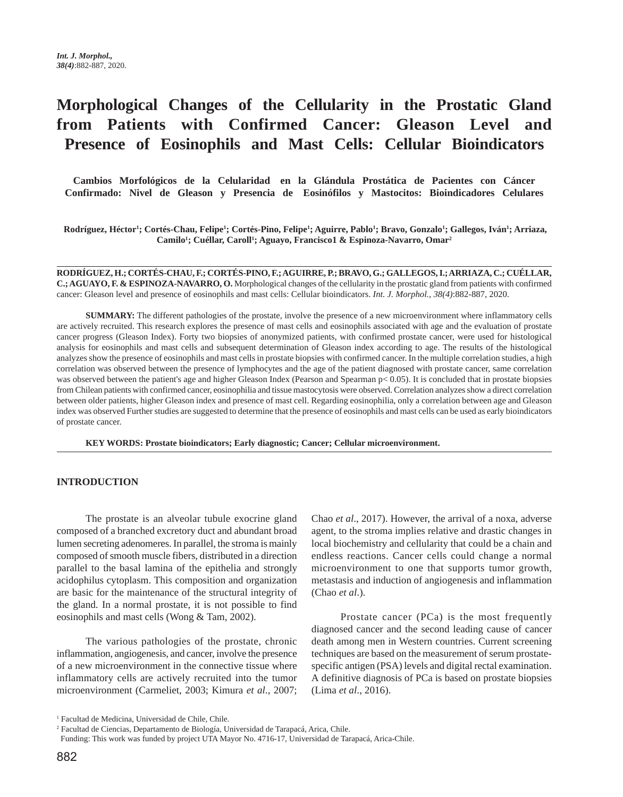# **Morphological Changes of the Cellularity in the Prostatic Gland from Patients with Confirmed Cancer: Gleason Level and Presence of Eosinophils and Mast Cells: Cellular Bioindicators**

**Cambios Morfológicos de la Celularidad en la Glándula Prostática de Pacientes con Cáncer Confirmado: Nivel de Gleason y Presencia de Eosinófilos y Mastocitos: Bioindicadores Celulares**

**Rodríguez, Héctor1 ; Cortés-Chau, Felipe1 ; Cortés-Pino, Felipe1 ; Aguirre, Pablo1 ; Bravo, Gonzalo1 ; Gallegos, Iván1 ; Arriaza,** Camilo<sup>1</sup>; Cuéllar, Caroll<sup>1</sup>; Aguayo, Francisco1 & Espinoza-Navarro, Omar<sup>2</sup>

**RODRÍGUEZ, H.; CORTÉS-CHAU, F.; CORTÉS-PINO, F.; AGUIRRE, P.; BRAVO, G.; GALLEGOS, I.; ARRIAZA, C.; CUÉLLAR, C.; AGUAYO, F. & ESPINOZA-NAVARRO, O.** Morphological changes of the cellularity in the prostatic gland from patients with confirmed cancer: Gleason level and presence of eosinophils and mast cells: Cellular bioindicators. *Int. J. Morphol., 38(4)*:882-887, 2020.

**SUMMARY:** The different pathologies of the prostate, involve the presence of a new microenvironment where inflammatory cells are actively recruited. This research explores the presence of mast cells and eosinophils associated with age and the evaluation of prostate cancer progress (Gleason Index). Forty two biopsies of anonymized patients, with confirmed prostate cancer, were used for histological analysis for eosinophils and mast cells and subsequent determination of Gleason index according to age. The results of the histological analyzes show the presence of eosinophils and mast cells in prostate biopsies with confirmed cancer. In the multiple correlation studies, a high correlation was observed between the presence of lymphocytes and the age of the patient diagnosed with prostate cancer, same correlation was observed between the patient's age and higher Gleason Index (Pearson and Spearman p< 0.05). It is concluded that in prostate biopsies from Chilean patients with confirmed cancer, eosinophilia and tissue mastocytosis were observed. Correlation analyzes show a direct correlation between older patients, higher Gleason index and presence of mast cell. Regarding eosinophilia, only a correlation between age and Gleason index was observed Further studies are suggested to determine that the presence of eosinophils and mast cells can be used as early bioindicators of prostate cancer.

**KEY WORDS: Prostate bioindicators; Early diagnostic; Cancer; Cellular microenvironment.**

## **INTRODUCTION**

The prostate is an alveolar tubule exocrine gland composed of a branched excretory duct and abundant broad lumen secreting adenomeres. In parallel, the stroma is mainly composed of smooth muscle fibers, distributed in a direction parallel to the basal lamina of the epithelia and strongly acidophilus cytoplasm. This composition and organization are basic for the maintenance of the structural integrity of the gland. In a normal prostate, it is not possible to find eosinophils and mast cells (Wong & Tam, 2002).

The various pathologies of the prostate, chronic inflammation, angiogenesis, and cancer, involve the presence of a new microenvironment in the connective tissue where inflammatory cells are actively recruited into the tumor microenvironment (Carmeliet, 2003; Kimura *et al*., 2007; Chao *et al*., 2017). However, the arrival of a noxa, adverse agent, to the stroma implies relative and drastic changes in local biochemistry and cellularity that could be a chain and endless reactions. Cancer cells could change a normal microenvironment to one that supports tumor growth, metastasis and induction of angiogenesis and inflammation (Chao *et al*.).

Prostate cancer (PCa) is the most frequently diagnosed cancer and the second leading cause of cancer death among men in Western countries. Current screening techniques are based on the measurement of serum prostatespecific antigen (PSA) levels and digital rectal examination. A definitive diagnosis of PCa is based on prostate biopsies (Lima *et al*., 2016).

<sup>1</sup> Facultad de Medicina, Universidad de Chile, Chile.

<sup>2</sup> Facultad de Ciencias, Departamento de Biología, Universidad de Tarapacá, Arica, Chile.

Funding: This work was funded by project UTA Mayor No. 4716-17, Universidad de Tarapacá, Arica-Chile.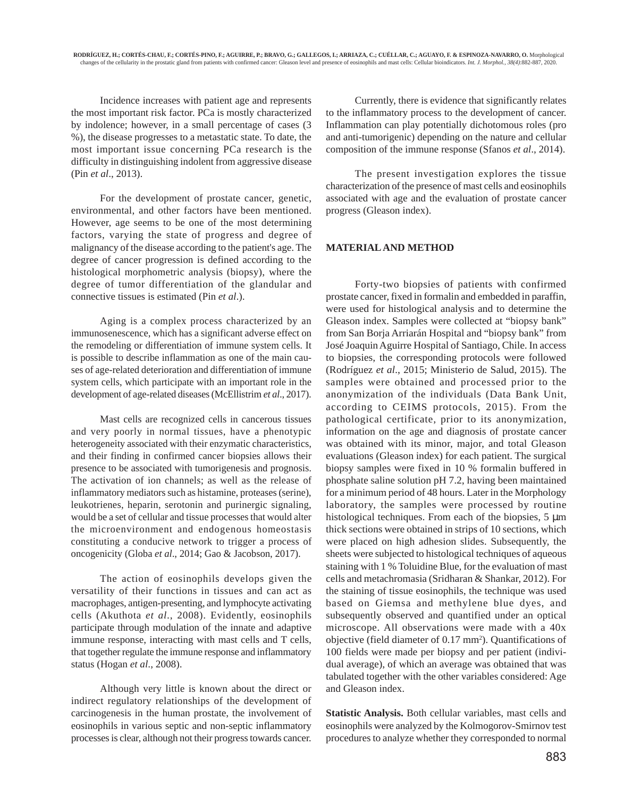Incidence increases with patient age and represents the most important risk factor. PCa is mostly characterized by indolence; however, in a small percentage of cases (3 %), the disease progresses to a metastatic state. To date, the most important issue concerning PCa research is the difficulty in distinguishing indolent from aggressive disease (Pin *et al*., 2013).

For the development of prostate cancer, genetic, environmental, and other factors have been mentioned. However, age seems to be one of the most determining factors, varying the state of progress and degree of malignancy of the disease according to the patient's age. The degree of cancer progression is defined according to the histological morphometric analysis (biopsy), where the degree of tumor differentiation of the glandular and connective tissues is estimated (Pin *et al*.).

Aging is a complex process characterized by an immunosenescence, which has a significant adverse effect on the remodeling or differentiation of immune system cells. It is possible to describe inflammation as one of the main causes of age-related deterioration and differentiation of immune system cells, which participate with an important role in the development of age-related diseases (McEllistrim *et al*., 2017).

Mast cells are recognized cells in cancerous tissues and very poorly in normal tissues, have a phenotypic heterogeneity associated with their enzymatic characteristics, and their finding in confirmed cancer biopsies allows their presence to be associated with tumorigenesis and prognosis. The activation of ion channels; as well as the release of inflammatory mediators such as histamine, proteases (serine), leukotrienes, heparin, serotonin and purinergic signaling, would be a set of cellular and tissue processes that would alter the microenvironment and endogenous homeostasis constituting a conducive network to trigger a process of oncogenicity (Globa *et al*., 2014; Gao & Jacobson, 2017).

The action of eosinophils develops given the versatility of their functions in tissues and can act as macrophages, antigen-presenting, and lymphocyte activating cells (Akuthota *et al*., 2008). Evidently, eosinophils participate through modulation of the innate and adaptive immune response, interacting with mast cells and T cells, that together regulate the immune response and inflammatory status (Hogan *et al*., 2008).

Although very little is known about the direct or indirect regulatory relationships of the development of carcinogenesis in the human prostate, the involvement of eosinophils in various septic and non-septic inflammatory processes is clear, although not their progress towards cancer.

Currently, there is evidence that significantly relates to the inflammatory process to the development of cancer. Inflammation can play potentially dichotomous roles (pro and anti-tumorigenic) depending on the nature and cellular composition of the immune response (Sfanos *et al*., 2014).

The present investigation explores the tissue characterization of the presence of mast cells and eosinophils associated with age and the evaluation of prostate cancer progress (Gleason index).

## **MATERIAL AND METHOD**

Forty-two biopsies of patients with confirmed prostate cancer, fixed in formalin and embedded in paraffin, were used for histological analysis and to determine the Gleason index. Samples were collected at "biopsy bank" from San Borja Arriarán Hospital and "biopsy bank" from José Joaquin Aguirre Hospital of Santiago, Chile. In access to biopsies, the corresponding protocols were followed (Rodríguez *et al*., 2015; Ministerio de Salud, 2015). The samples were obtained and processed prior to the anonymization of the individuals (Data Bank Unit, according to CEIMS protocols, 2015). From the pathological certificate, prior to its anonymization, information on the age and diagnosis of prostate cancer was obtained with its minor, major, and total Gleason evaluations (Gleason index) for each patient. The surgical biopsy samples were fixed in 10 % formalin buffered in phosphate saline solution pH 7.2, having been maintained for a minimum period of 48 hours. Later in the Morphology laboratory, the samples were processed by routine histological techniques. From each of the biopsies, 5  $\mu$ m thick sections were obtained in strips of 10 sections, which were placed on high adhesion slides. Subsequently, the sheets were subjected to histological techniques of aqueous staining with 1 % Toluidine Blue, for the evaluation of mast cells and metachromasia (Sridharan & Shankar, 2012). For the staining of tissue eosinophils, the technique was used based on Giemsa and methylene blue dyes, and subsequently observed and quantified under an optical microscope. All observations were made with a 40x objective (field diameter of 0.17 mm<sup>2</sup>). Quantifications of 100 fields were made per biopsy and per patient (individual average), of which an average was obtained that was tabulated together with the other variables considered: Age and Gleason index.

**Statistic Analysis.** Both cellular variables, mast cells and eosinophils were analyzed by the Kolmogorov-Smirnov test procedures to analyze whether they corresponded to normal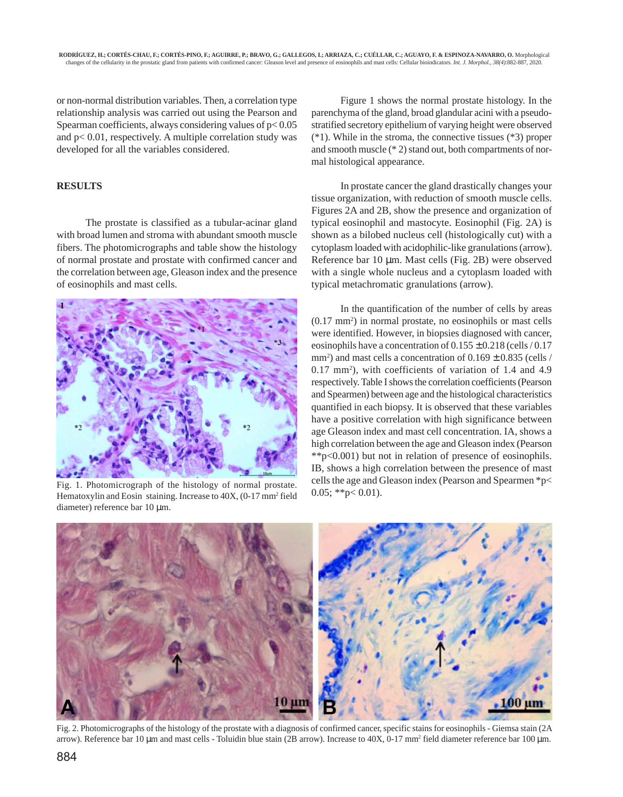or non-normal distribution variables. Then, a correlation type relationship analysis was carried out using the Pearson and Spearman coefficients, always considering values of  $p < 0.05$ and p< 0.01, respectively. A multiple correlation study was developed for all the variables considered.

# **RESULTS**

The prostate is classified as a tubular-acinar gland with broad lumen and stroma with abundant smooth muscle fibers. The photomicrographs and table show the histology of normal prostate and prostate with confirmed cancer and the correlation between age, Gleason index and the presence of eosinophils and mast cells.



Fig. 1. Photomicrograph of the histology of normal prostate. Hematoxylin and Eosin staining. Increase to 40X, (0-17 mm<sup>2</sup> field diameter) reference bar 10 µm.

Figure 1 shows the normal prostate histology. In the parenchyma of the gland, broad glandular acini with a pseudostratified secretory epithelium of varying height were observed (\*1). While in the stroma, the connective tissues (\*3) proper and smooth muscle (\* 2) stand out, both compartments of normal histological appearance.

In prostate cancer the gland drastically changes your tissue organization, with reduction of smooth muscle cells. Figures 2A and 2B, show the presence and organization of typical eosinophil and mastocyte. Eosinophil (Fig. 2A) is shown as a bilobed nucleus cell (histologically cut) with a cytoplasm loaded with acidophilic-like granulations (arrow). Reference bar 10 µm. Mast cells (Fig. 2B) were observed with a single whole nucleus and a cytoplasm loaded with typical metachromatic granulations (arrow).

In the quantification of the number of cells by areas (0.17 mm2 ) in normal prostate, no eosinophils or mast cells were identified. However, in biopsies diagnosed with cancer, eosinophils have a concentration of  $0.155 \pm 0.218$  (cells / 0.17) mm<sup>2</sup>) and mast cells a concentration of  $0.169 \pm 0.835$  (cells / 0.17 mm2 ), with coefficients of variation of 1.4 and 4.9 respectively. Table I shows the correlation coefficients (Pearson and Spearmen) between age and the histological characteristics quantified in each biopsy. It is observed that these variables have a positive correlation with high significance between age Gleason index and mast cell concentration. IA, shows a high correlation between the age and Gleason index (Pearson \*\*p<0.001) but not in relation of presence of eosinophils. IB, shows a high correlation between the presence of mast cells the age and Gleason index (Pearson and Spearmen \*p<  $0.05$ ; \*\*p $< 0.01$ ).



Fig. 2. Photomicrographs of the histology of the prostate with a diagnosis of confirmed cancer, specific stains for eosinophils - Giemsa stain (2A arrow). Reference bar 10 µm and mast cells - Toluidin blue stain (2B arrow). Increase to 40X, 0-17 mm<sup>2</sup> field diameter reference bar 100 µm.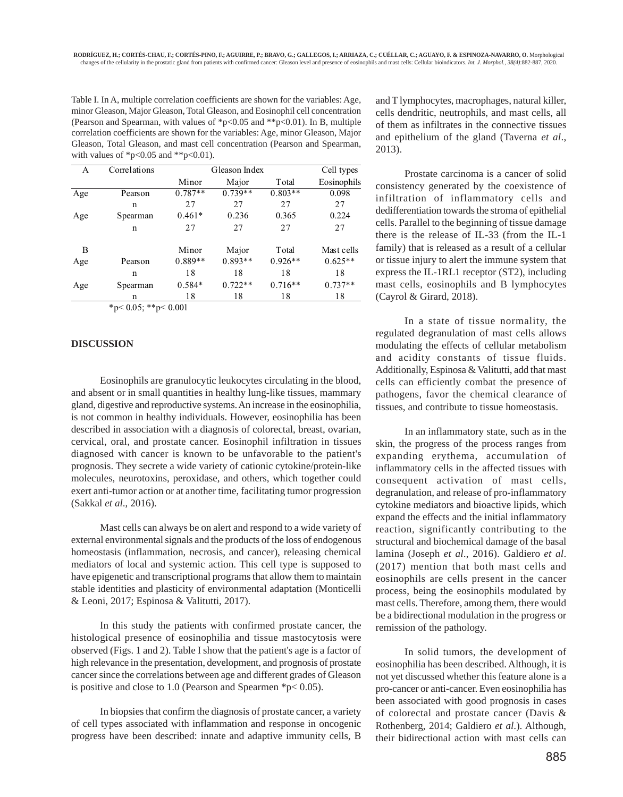Table I. In A, multiple correlation coefficients are shown for the variables: Age, minor Gleason, Major Gleason, Total Gleason, and Eosinophil cell concentration (Pearson and Spearman, with values of  $p<0.05$  and  $\pm p<0.01$ ). In B, multiple correlation coefficients are shown for the variables: Age, minor Gleason, Major Gleason, Total Gleason, and mast cell concentration (Pearson and Spearman, with values of  $p < 0.05$  and  $* p < 0.01$ .

| A   | Correlations | Gleason Index |           |           | Cell types  |
|-----|--------------|---------------|-----------|-----------|-------------|
|     |              | Minor         | Major     | Total     | Eosinophils |
| Age | Pearson      | $0.787**$     | $0.739**$ | $0.803**$ | 0.098       |
|     | n            | 27            | 27        | 27        | 27          |
| Age | Spearman     | $0.461*$      | 0.236     | 0.365     | 0.224       |
|     | n            | 27            | 27        | 27        | 27          |
| B   |              | Minor         | Major     | Total     | Mast cells  |
| Age | Pearson      | $0.889**$     | $0.893**$ | $0.926**$ | $0.625**$   |
|     | n            | 18            | 18        | 18        | 18          |
| Age | Spearman     | $0.584*$      | $0.722**$ | $0.716**$ | $0.737**$   |
|     | n            | 18            | 18        | 18        | 18          |

 $*p< 0.05$ ;  $*p< 0.001$ 

## **DISCUSSION**

Eosinophils are granulocytic leukocytes circulating in the blood, and absent or in small quantities in healthy lung-like tissues, mammary gland, digestive and reproductive systems. An increase in the eosinophilia, is not common in healthy individuals. However, eosinophilia has been described in association with a diagnosis of colorectal, breast, ovarian, cervical, oral, and prostate cancer. Eosinophil infiltration in tissues diagnosed with cancer is known to be unfavorable to the patient's prognosis. They secrete a wide variety of cationic cytokine/protein-like molecules, neurotoxins, peroxidase, and others, which together could exert anti-tumor action or at another time, facilitating tumor progression (Sakkal *et al*., 2016).

Mast cells can always be on alert and respond to a wide variety of external environmental signals and the products of the loss of endogenous homeostasis (inflammation, necrosis, and cancer), releasing chemical mediators of local and systemic action. This cell type is supposed to have epigenetic and transcriptional programs that allow them to maintain stable identities and plasticity of environmental adaptation (Monticelli & Leoni, 2017; Espinosa & Valitutti, 2017).

In this study the patients with confirmed prostate cancer, the histological presence of eosinophilia and tissue mastocytosis were observed (Figs. 1 and 2). Table I show that the patient's age is a factor of high relevance in the presentation, development, and prognosis of prostate cancer since the correlations between age and different grades of Gleason is positive and close to 1.0 (Pearson and Spearmen \*p< 0.05).

In biopsies that confirm the diagnosis of prostate cancer, a variety of cell types associated with inflammation and response in oncogenic progress have been described: innate and adaptive immunity cells, B

and T lymphocytes, macrophages, natural killer, cells dendritic, neutrophils, and mast cells, all of them as infiltrates in the connective tissues and epithelium of the gland (Taverna *et al*., 2013).

Prostate carcinoma is a cancer of solid consistency generated by the coexistence of infiltration of inflammatory cells and dedifferentiation towards the stroma of epithelial cells. Parallel to the beginning of tissue damage there is the release of IL-33 (from the IL-1 family) that is released as a result of a cellular or tissue injury to alert the immune system that express the IL-1RL1 receptor (ST2), including mast cells, eosinophils and B lymphocytes (Cayrol & Girard, 2018).

In a state of tissue normality, the regulated degranulation of mast cells allows modulating the effects of cellular metabolism and acidity constants of tissue fluids. Additionally, Espinosa & Valitutti, add that mast cells can efficiently combat the presence of pathogens, favor the chemical clearance of tissues, and contribute to tissue homeostasis.

In an inflammatory state, such as in the skin, the progress of the process ranges from expanding erythema, accumulation of inflammatory cells in the affected tissues with consequent activation of mast cells, degranulation, and release of pro-inflammatory cytokine mediators and bioactive lipids, which expand the effects and the initial inflammatory reaction, significantly contributing to the structural and biochemical damage of the basal lamina (Joseph *et al*., 2016). Galdiero *et al*. (2017) mention that both mast cells and eosinophils are cells present in the cancer process, being the eosinophils modulated by mast cells. Therefore, among them, there would be a bidirectional modulation in the progress or remission of the pathology.

In solid tumors, the development of eosinophilia has been described. Although, it is not yet discussed whether this feature alone is a pro-cancer or anti-cancer. Even eosinophilia has been associated with good prognosis in cases of colorectal and prostate cancer (Davis & Rothenberg, 2014; Galdiero *et al*.). Although, their bidirectional action with mast cells can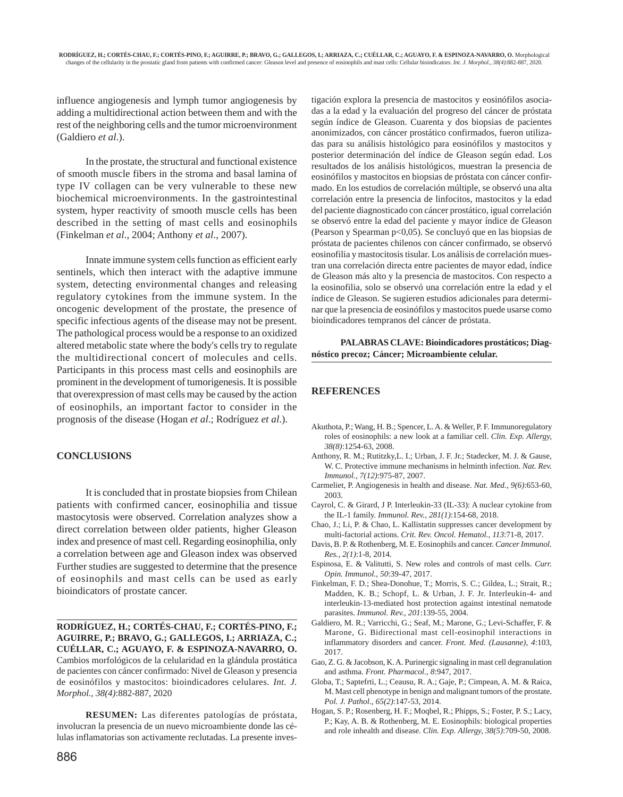influence angiogenesis and lymph tumor angiogenesis by adding a multidirectional action between them and with the rest of the neighboring cells and the tumor microenvironment (Galdiero *et al*.).

In the prostate, the structural and functional existence of smooth muscle fibers in the stroma and basal lamina of type IV collagen can be very vulnerable to these new biochemical microenvironments. In the gastrointestinal system, hyper reactivity of smooth muscle cells has been described in the setting of mast cells and eosinophils (Finkelman *et al*., 2004; Anthony *et al*., 2007).

Innate immune system cells function as efficient early sentinels, which then interact with the adaptive immune system, detecting environmental changes and releasing regulatory cytokines from the immune system. In the oncogenic development of the prostate, the presence of specific infectious agents of the disease may not be present. The pathological process would be a response to an oxidized altered metabolic state where the body's cells try to regulate the multidirectional concert of molecules and cells. Participants in this process mast cells and eosinophils are prominent in the development of tumorigenesis. It is possible that overexpression of mast cells may be caused by the action of eosinophils, an important factor to consider in the prognosis of the disease (Hogan *et al*.; Rodríguez *et al*.).

## **CONCLUSIONS**

It is concluded that in prostate biopsies from Chilean patients with confirmed cancer, eosinophilia and tissue mastocytosis were observed. Correlation analyzes show a direct correlation between older patients, higher Gleason index and presence of mast cell. Regarding eosinophilia, only a correlation between age and Gleason index was observed Further studies are suggested to determine that the presence of eosinophils and mast cells can be used as early bioindicators of prostate cancer.

**RODRÍGUEZ, H.; CORTÉS-CHAU, F.; CORTÉS-PINO, F.; AGUIRRE, P.; BRAVO, G.; GALLEGOS, I.; ARRIAZA, C.; CUÉLLAR, C.; AGUAYO, F. & ESPINOZA-NAVARRO, O.** Cambios morfológicos de la celularidad en la glándula prostática de pacientes con cáncer confirmado: Nivel de Gleason y presencia de eosinófilos y mastocitos: bioindicadores celulares. *Int. J. Morphol., 38(4)*:882-887, 2020

**RESUMEN:** Las diferentes patologías de próstata, involucran la presencia de un nuevo microambiente donde las células inflamatorias son activamente reclutadas. La presente investigación explora la presencia de mastocitos y eosinófilos asociadas a la edad y la evaluación del progreso del cáncer de próstata según índice de Gleason. Cuarenta y dos biopsias de pacientes anonimizados, con cáncer prostático confirmados, fueron utilizadas para su análisis histológico para eosinófilos y mastocitos y posterior determinación del índice de Gleason según edad. Los resultados de los análisis histológicos, muestran la presencia de eosinófilos y mastocitos en biopsias de próstata con cáncer confirmado. En los estudios de correlación múltiple, se observó una alta correlación entre la presencia de linfocitos, mastocitos y la edad del paciente diagnosticado con cáncer prostático, igual correlación se observó entre la edad del paciente y mayor índice de Gleason (Pearson y Spearman p<0,05). Se concluyó que en las biopsias de próstata de pacientes chilenos con cáncer confirmado, se observó eosinofilia y mastocitosis tisular. Los análisis de correlación muestran una correlación directa entre pacientes de mayor edad, índice de Gleason más alto y la presencia de mastocitos. Con respecto a la eosinofilia, solo se observó una correlación entre la edad y el índice de Gleason. Se sugieren estudios adicionales para determinar que la presencia de eosinófilos y mastocitos puede usarse como bioindicadores tempranos del cáncer de próstata.

**PALABRAS CLAVE: Bioindicadores prostáticos; Diagnóstico precoz; Cáncer; Microambiente celular.**

## **REFERENCES**

- Akuthota, P.; Wang, H. B.; Spencer, L. A. & Weller, P. F. Immunoregulatory roles of eosinophils: a new look at a familiar cell. *Clin. Exp. Allergy, 38(8)*:1254-63, 2008.
- Anthony, R. M.; Rutitzky,L. I.; Urban, J. F. Jr.; Stadecker, M. J. & Gause, W. C. Protective immune mechanisms in helminth infection. *Nat. Rev. Immunol., 7(12)*:975-87, 2007.
- Carmeliet, P. Angiogenesis in health and disease. *Nat. Med., 9(6)*:653-60, 2003.
- Cayrol, C. & Girard, J P. Interleukin-33 (IL-33): A nuclear cytokine from the IL-1 family. *Immunol. Rev., 281(1)*:154-68, 2018.
- Chao, J.; Li, P. & Chao, L. Kallistatin suppresses cancer development by multi-factorial actions. *Crit. Rev. Oncol. Hematol., 113*:71-8, 2017.
- Davis, B. P. & Rothenberg, M. E. Eosinophils and cancer. *Cancer Immunol. Res., 2(1)*:1-8, 2014.
- Espinosa, E. & Valitutti, S. New roles and controls of mast cells. *Curr. Opin. Immunol., 50*:39-47, 2017.
- Finkelman, F. D.; Shea-Donohue, T.; Morris, S. C.; Gildea, L.; Strait, R.; Madden, K. B.; Schopf, L. & Urban, J. F. Jr. Interleukin-4- and interleukin-13-mediated host protection against intestinal nematode parasites. *Immunol. Rev., 201*:139-55, 2004.
- Galdiero, M. R.; Varricchi, G.; Seaf, M.; Marone, G.; Levi-Schaffer, F. & Marone, G. Bidirectional mast cell-eosinophil interactions in inflammatory disorders and cancer. *Front. Med. (Lausanne), 4*:103, 2017.
- Gao, Z. G. & Jacobson, K. A. Purinergic signaling in mast cell degranulation and asthma. *Front. Pharmacol., 8*:947, 2017.
- Globa, T.; Saptefrti, L.; Ceausu, R. A.; Gaje, P.; Cimpean, A. M. & Raica, M. Mast cell phenotype in benign and malignant tumors of the prostate. *Pol. J. Pathol., 65(2)*:147-53, 2014.
- Hogan, S. P.; Rosenberg, H. F.; Moqbel, R.; Phipps, S.; Foster, P. S.; Lacy, P.; Kay, A. B. & Rothenberg, M. E. Eosinophils: biological properties and role inhealth and disease. *Clin. Exp. Allergy, 38(5)*:709-50, 2008.